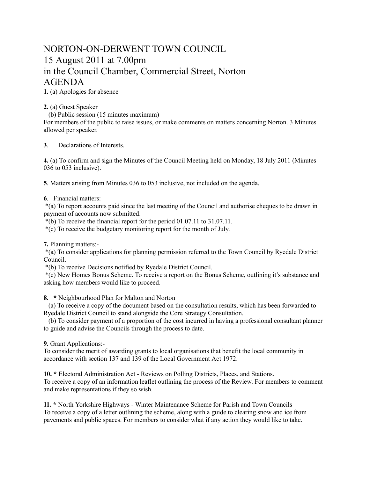## NORTON-ON-DERWENT TOWN COUNCIL 15 August 2011 at 7.00pm in the Council Chamber, Commercial Street, Norton AGENDA

**1.** (a) Apologies for absence

**2.** (a) Guest Speaker

(b) Public session (15 minutes maximum)

For members of the public to raise issues, or make comments on matters concerning Norton. 3 Minutes allowed per speaker.

**3**. Declarations of Interests.

**4.** (a) To confirm and sign the Minutes of the Council Meeting held on Monday, 18 July 2011 (Minutes 036 to 053 inclusive).

**5**. Matters arising from Minutes 036 to 053 inclusive, not included on the agenda.

## **6**. Financial matters:

 \*(a) To report accounts paid since the last meeting of the Council and authorise cheques to be drawn in payment of accounts now submitted.

\*(b) To receive the financial report for the period 01.07.11 to 31.07.11.

\*(c) To receive the budgetary monitoring report for the month of July.

**7.** Planning matters:-

 \*(a) To consider applications for planning permission referred to the Town Council by Ryedale District Council.

\*(b) To receive Decisions notified by Ryedale District Council.

 \*(c) New Homes Bonus Scheme. To receive a report on the Bonus Scheme, outlining it's substance and asking how members would like to proceed.

**8. \*** Neighbourhood Plan for Malton and Norton

 (a) To receive a copy of the document based on the consultation results, which has been forwarded to Ryedale District Council to stand alongside the Core Strategy Consultation.

 (b) To consider payment of a proportion of the cost incurred in having a professional consultant planner to guide and advise the Councils through the process to date.

**9.** Grant Applications:-

To consider the merit of awarding grants to local organisations that benefit the local community in accordance with section 137 and 139 of the Local Government Act 1972.

**10. \*** Electoral Administration Act - Reviews on Polling Districts, Places, and Stations. To receive a copy of an information leaflet outlining the process of the Review. For members to comment and make representations if they so wish.

**11. \*** North Yorkshire Highways - Winter Maintenance Scheme for Parish and Town Councils To receive a copy of a letter outlining the scheme, along with a guide to clearing snow and ice from pavements and public spaces. For members to consider what if any action they would like to take.